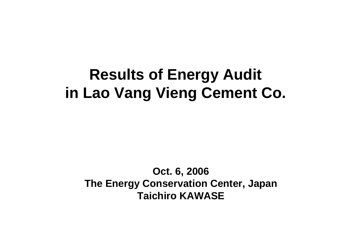# **Results of Energy Audit in Lao Vang Vieng Cement Co.**

#### **Oct. 6, 2006 The Energy Conservation Center, Japan Taichiro KAWASE**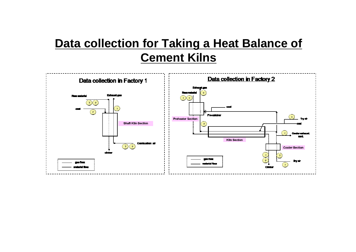### **Data collection for Taking a Heat Balance of Cement Kilns**

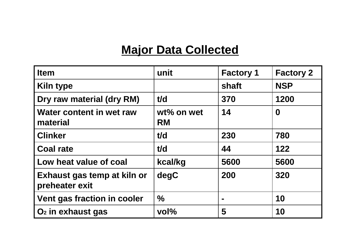### **Major Data Collected**

| <b>Item</b>                                   | unit                       | <b>Factory 1</b> | <b>Factory 2</b> |
|-----------------------------------------------|----------------------------|------------------|------------------|
| <b>Kiln type</b>                              |                            | shaft            | <b>NSP</b>       |
| Dry raw material (dry RM)                     | t/d                        | 370              | 1200             |
| Water content in wet raw<br>material          | $wt\%$ on wet<br><b>RM</b> | 14               | $\boldsymbol{0}$ |
| <b>Clinker</b>                                | t/d                        | 230              | 780              |
| <b>Coal rate</b>                              | t/d                        | 44               | 122              |
| Low heat value of coal                        | kcal/kg                    | 5600             | 5600             |
| Exhaust gas temp at kiln or<br>preheater exit | degC                       | 200              | 320              |
| <b>Vent gas fraction in cooler</b>            | $\frac{0}{0}$              |                  | 10               |
| O <sub>2</sub> in exhaust gas                 | $vol\%$                    | 5                | 10               |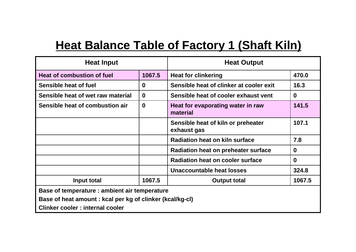## **Heat Balance Table of Factory 1 (Shaft Kiln)**

| <b>Heat Input</b>                                         |             | <b>Heat Output</b>                                |          |
|-----------------------------------------------------------|-------------|---------------------------------------------------|----------|
| Heat of combustion of fuel                                | 1067.5      | <b>Heat for clinkering</b>                        | 470.0    |
| Sensible heat of fuel                                     | $\bf{0}$    | Sensible heat of clinker at cooler exit           | 16.3     |
| Sensible heat of wet raw material                         | $\mathbf 0$ | Sensible heat of cooler exhaust vent              | $\bf{0}$ |
| Sensible heat of combustion air                           | $\mathbf 0$ | Heat for evaporating water in raw<br>material     | 141.5    |
|                                                           |             | Sensible heat of kiln or preheater<br>exhaust gas | 107.1    |
|                                                           |             | Radiation heat on kiln surface                    | 7.8      |
|                                                           |             | <b>Radiation heat on preheater surface</b>        | $\bf{0}$ |
|                                                           |             | <b>Radiation heat on cooler surface</b>           | $\bf{0}$ |
|                                                           |             | Unaccountable heat losses                         | 324.8    |
| Input total                                               | 1067.5      | <b>Output total</b>                               | 1067.5   |
| Base of temperature : ambient air temperature             |             |                                                   |          |
| Base of heat amount : kcal per kg of clinker (kcal/kg-cl) |             |                                                   |          |
| Clinker cooler: internal cooler                           |             |                                                   |          |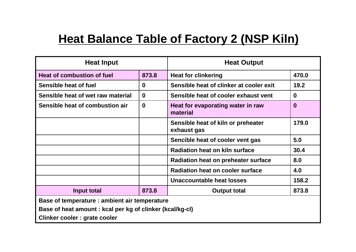## **Heat Balance Table of Factory 2 (NSP Kiln)**

| <b>Heat Input</b>                                         |             | <b>Heat Output</b>                                |          |
|-----------------------------------------------------------|-------------|---------------------------------------------------|----------|
| Heat of combustion of fuel                                | 873.8       | <b>Heat for clinkering</b>                        | 470.0    |
| Sensible heat of fuel                                     | $\bf{0}$    | Sensible heat of clinker at cooler exit           | 19.2     |
| Sensible heat of wet raw material                         | $\bf{0}$    | Sensible heat of cooler exhaust vent              | $\bf{0}$ |
| Sensible heat of combustion air                           | $\mathbf 0$ | Heat for evaporating water in raw<br>material     | $\bf{0}$ |
|                                                           |             | Sensible heat of kiln or preheater<br>exhaust gas | 179.0    |
|                                                           |             | Sencible heat of cooler vent gas                  | 5.0      |
|                                                           |             | Radiation heat on kiln surface                    | 30.4     |
|                                                           |             | <b>Radiation heat on preheater surface</b>        | 8.0      |
|                                                           |             | <b>Radiation heat on cooler surface</b>           | 4.0      |
|                                                           |             | Unaccountable heat losses                         | 158.2    |
| Input total                                               | 873.8       | <b>Output total</b>                               | 873.8    |
| Base of temperature : ambient air temperature             |             |                                                   |          |
| Base of heat amount : kcal per kg of clinker (kcal/kg-cl) |             |                                                   |          |
| Clinker cooler : grate cooler                             |             |                                                   |          |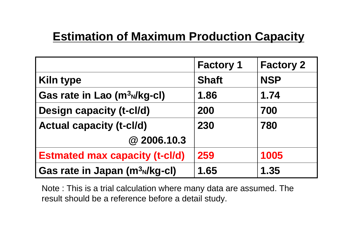### **Estimation of Maximum Production Capacity**

|                                            | <b>Factory 1</b> | <b>Factory 2</b> |
|--------------------------------------------|------------------|------------------|
| <b>Kiln type</b>                           | <b>Shaft</b>     | <b>NSP</b>       |
| Gas rate in Lao (m <sup>3</sup> N/kg-cl)   | 1.86             | 1.74             |
| <b>Design capacity (t-cl/d)</b>            | 200              | 700              |
| <b>Actual capacity (t-cl/d)</b>            | 230              | 780              |
| @2006.10.3                                 |                  |                  |
| <b>Estmated max capacity (t-cl/d)</b>      | 259              | 1005             |
| Gas rate in Japan (m <sup>3</sup> N/kg-cl) | 1.65             | 1.35             |

Note : This is a trial calculation where many data are assumed. The result should be a reference before a detail study.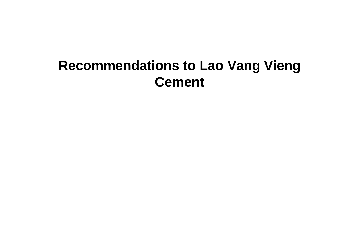## **Recommendations to Lao Vang Vieng Cement**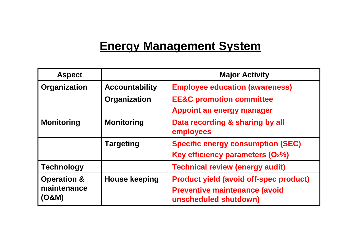### **Energy Management System**

| <b>Aspect</b>          |                       | <b>Major Activity</b>                                         |
|------------------------|-----------------------|---------------------------------------------------------------|
| Organization           | <b>Accountability</b> | <b>Employee education (awareness)</b>                         |
|                        | Organization          | <b>EE&amp;C promotion committee</b>                           |
|                        |                       | <b>Appoint an energy manager</b>                              |
| <b>Monitoring</b>      | <b>Monitoring</b>     | Data recording & sharing by all<br>employees                  |
|                        | <b>Targeting</b>      | <b>Specific energy consumption (SEC)</b>                      |
|                        |                       | Key efficiency parameters (O2%)                               |
| <b>Technology</b>      |                       | <b>Technical review (energy audit)</b>                        |
| <b>Operation &amp;</b> | <b>House keeping</b>  | <b>Product yield (avoid off-spec product)</b>                 |
| maintenance<br>(O&M)   |                       | <b>Preventive maintenance (avoid</b><br>unscheduled shutdown) |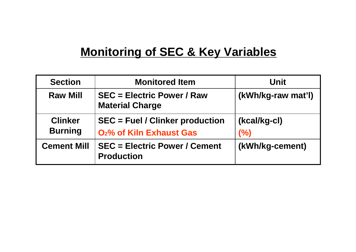### **Monitoring of SEC & Key Variables**

| <b>Section</b>                   | <b>Monitored Item</b>                                                          | Unit                |
|----------------------------------|--------------------------------------------------------------------------------|---------------------|
| <b>Raw Mill</b>                  | <b>SEC = Electric Power / Raw</b><br><b>Material Charge</b>                    | (kWh/kg-raw mat'l)  |
| <b>Clinker</b><br><b>Burning</b> | <b>SEC = Fuel / Clinker production</b><br>O <sub>2</sub> % of Kiln Exhaust Gas | (kcal/kg-cl)<br>(%) |
| <b>Cement Mill</b>               | <b>SEC = Electric Power / Cement</b><br><b>Production</b>                      | (kWh/kg-cement)     |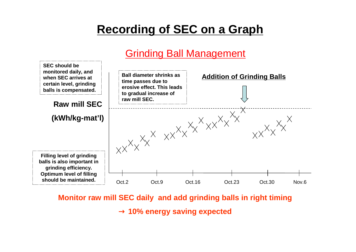### **Recording of SEC on a Graph**

#### Grinding Ball Management



**Monitor raw mill SEC daily and add grinding balls in right timing**

**10% energy saving expected**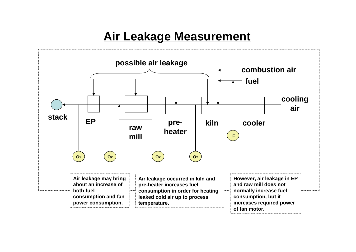### **Air Leakage Measurement**